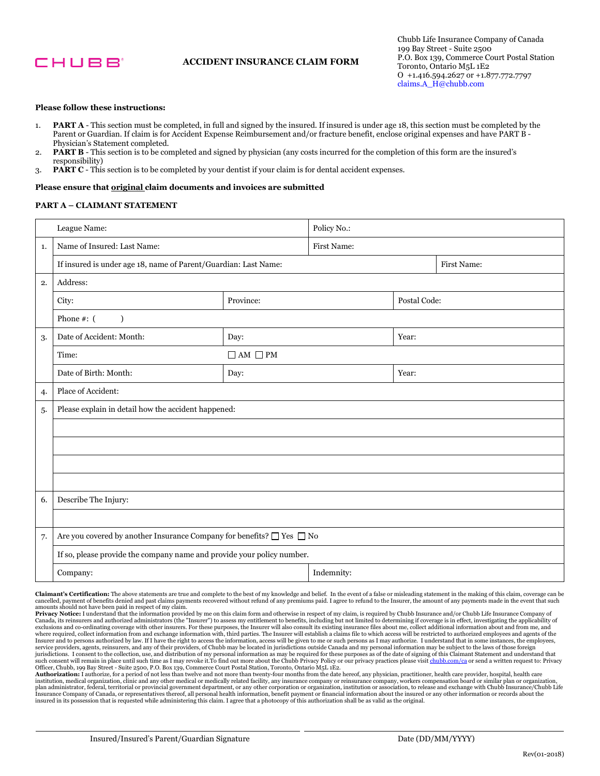

# **ACCIDENT INSURANCE CLAIM FORM**

## **Please follow these instructions:**

- 1. **PART A**  This section must be completed, in full and signed by the insured. If insured is under age 18, this section must be completed by the Parent or Guardian. If claim is for Accident Expense Reimbursement and/or fracture benefit, enclose original expenses and have PART B - Physician's Statement completed.
- 2. **PART B**  This section is to be completed and signed by physician (any costs incurred for the completion of this form are the insured's responsibility)
- 3. **PART C**  This section is to be completed by your dentist if your claim is for dental accident expenses.

#### **Please ensure that original claim documents and invoices are submitted**

## **PART A – CLAIMANT STATEMENT**

| League Name: |                                                                                         | Policy No.:         |             |              |  |  |  |
|--------------|-----------------------------------------------------------------------------------------|---------------------|-------------|--------------|--|--|--|
| 1.           | Name of Insured: Last Name:                                                             |                     | First Name: |              |  |  |  |
|              | If insured is under age 18, name of Parent/Guardian: Last Name:                         |                     |             | First Name:  |  |  |  |
| 2.           | Address:                                                                                |                     |             |              |  |  |  |
|              | Province:<br>City:                                                                      |                     |             | Postal Code: |  |  |  |
|              | Phone $#: ($<br>$\lambda$                                                               |                     |             |              |  |  |  |
| 3.           | Date of Accident: Month:                                                                | Day:                |             | Year:        |  |  |  |
|              | Time:                                                                                   | $\Box$ AM $\Box$ PM |             |              |  |  |  |
|              | Date of Birth: Month:                                                                   | Day:                |             | Year:        |  |  |  |
| 4.           | Place of Accident:                                                                      |                     |             |              |  |  |  |
| 5.           | Please explain in detail how the accident happened:                                     |                     |             |              |  |  |  |
|              |                                                                                         |                     |             |              |  |  |  |
|              |                                                                                         |                     |             |              |  |  |  |
|              |                                                                                         |                     |             |              |  |  |  |
|              |                                                                                         |                     |             |              |  |  |  |
| 6.           | Describe The Injury:                                                                    |                     |             |              |  |  |  |
|              |                                                                                         |                     |             |              |  |  |  |
| 7.           | Are you covered by another Insurance Company for benefits? $\Box$<br>Yes $\;\Box$<br>No |                     |             |              |  |  |  |
|              | If so, please provide the company name and provide your policy number.                  |                     |             |              |  |  |  |
|              | Company:                                                                                |                     | Indemnity:  |              |  |  |  |

 **Claimant's Certification:** The above statements are true and complete to the best of my knowledge and belief. In the event of a false or misleading statement in the making of this claim, coverage can be cancelled, payment of benefits denied and past claims payments recovered without refund of any premiums paid. I agree to refund to the Insurer, the amount of any payments made in the event that such

amounts should not have been paid in respect of my claim.<br>**Privacy Notice:** I understand that the information provided by me on this claim form and otherwise in respect of my claim, is required by Chubb Insurance and/or Ch Insurer and to persons authorized by law. If I have the right to access the information, access will be given to me or such persons as I may authorize. I understand that in some instances, the employees, I consent to the will remain in Canada, its reinsurers and authorized administrators (the "Insurer") to assess my entitlement to benefits, including but not limited to determining if coverage is in effect, investigating the applicability of exclusions and co-ordinating coverage with other insurers. For these purposes, the Insurer will also consult its existing insurance files about me, collect additional information about and from me, and<br>where required, coll service providers, agents, reinsurers, and any of their providers, of Chubb may be located in jurisdictions outside Canada and my personal information may be subject to the laws of those foreign<br>jurisdictions. I consent to Officer, Chubb, 199 Bay Street - Suite 2500, P.O. Box 139, Commerce Court Postal Station, Toronto, Ontario M5L 1E2.

**Authorization:** I authorize, for a period of not less than twelve and not more than twenty-four months from the date hereof, any physician, practitioner, health care provider, hospital, health care<br>institution, medical or plan administrator, federal, territorial or provincial government department, or any other corporation or organization, institution or association, to release and exchange with Chubb Insurance/Chubb Life Insurance Company of Canada, or representatives thereof, all personal health information, benefit payment or financial information about the insured or any other information or records about the<br>insured in its possession t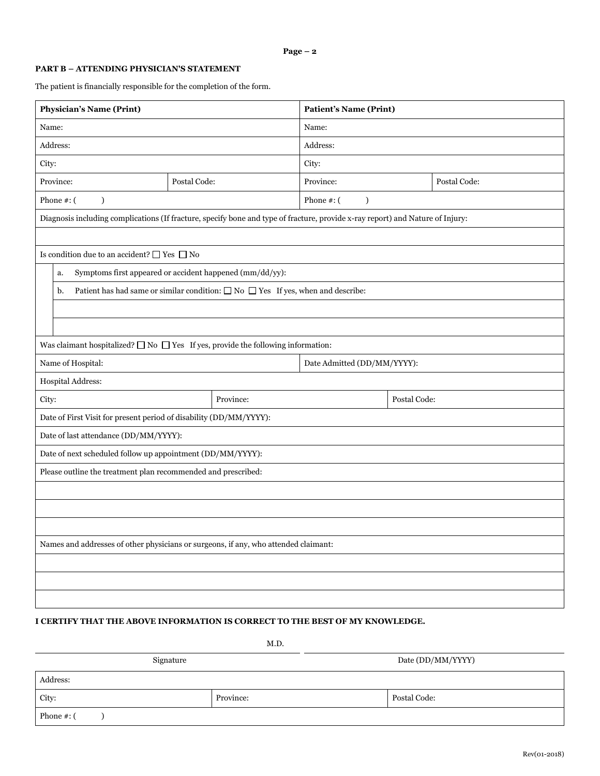# **PART B – ATTENDING PHYSICIAN'S STATEMENT**

The patient is financially responsible for the completion of the form.

| <b>Physician's Name (Print)</b>                                                                                                |                                                                                            | <b>Patient's Name (Print)</b>  |              |  |  |  |  |
|--------------------------------------------------------------------------------------------------------------------------------|--------------------------------------------------------------------------------------------|--------------------------------|--------------|--|--|--|--|
| Name:                                                                                                                          |                                                                                            | Name:                          |              |  |  |  |  |
| Address:                                                                                                                       |                                                                                            | Address:                       |              |  |  |  |  |
| City:                                                                                                                          |                                                                                            | City:                          |              |  |  |  |  |
| Province:<br>Postal Code:                                                                                                      |                                                                                            | Province:                      | Postal Code: |  |  |  |  |
| Phone $#:$ (<br>$\mathcal{E}$                                                                                                  |                                                                                            | Phone $#$ : (<br>$\mathcal{L}$ |              |  |  |  |  |
| Diagnosis including complications (If fracture, specify bone and type of fracture, provide x-ray report) and Nature of Injury: |                                                                                            |                                |              |  |  |  |  |
|                                                                                                                                |                                                                                            |                                |              |  |  |  |  |
| Is condition due to an accident? $\Box$ Yes $\Box$ No                                                                          |                                                                                            |                                |              |  |  |  |  |
| Symptoms first appeared or accident happened (mm/dd/yy):<br>a.                                                                 |                                                                                            |                                |              |  |  |  |  |
| b.                                                                                                                             | Patient has had same or similar condition: $\Box$ No $\Box$ Yes If yes, when and describe: |                                |              |  |  |  |  |
|                                                                                                                                |                                                                                            |                                |              |  |  |  |  |
|                                                                                                                                |                                                                                            |                                |              |  |  |  |  |
| Was claimant hospitalized? $\square$ No $\square$ Yes If yes, provide the following information:                               |                                                                                            |                                |              |  |  |  |  |
| Name of Hospital:                                                                                                              |                                                                                            | Date Admitted (DD/MM/YYYY):    |              |  |  |  |  |
| Hospital Address:                                                                                                              |                                                                                            |                                |              |  |  |  |  |
| City:                                                                                                                          | Province:                                                                                  |                                | Postal Code: |  |  |  |  |
| Date of First Visit for present period of disability (DD/MM/YYYY):                                                             |                                                                                            |                                |              |  |  |  |  |
| Date of last attendance (DD/MM/YYYY):                                                                                          |                                                                                            |                                |              |  |  |  |  |
| Date of next scheduled follow up appointment (DD/MM/YYYY):                                                                     |                                                                                            |                                |              |  |  |  |  |
| Please outline the treatment plan recommended and prescribed:                                                                  |                                                                                            |                                |              |  |  |  |  |
|                                                                                                                                |                                                                                            |                                |              |  |  |  |  |
|                                                                                                                                |                                                                                            |                                |              |  |  |  |  |
|                                                                                                                                |                                                                                            |                                |              |  |  |  |  |
| Names and addresses of other physicians or surgeons, if any, who attended claimant:                                            |                                                                                            |                                |              |  |  |  |  |
|                                                                                                                                |                                                                                            |                                |              |  |  |  |  |
|                                                                                                                                |                                                                                            |                                |              |  |  |  |  |
|                                                                                                                                |                                                                                            |                                |              |  |  |  |  |

# **I CERTIFY THAT THE ABOVE INFORMATION IS CORRECT TO THE BEST OF MY KNOWLEDGE.**

M.D.

| Signature      |           | Date (DD/MM/YYYY) |  |  |
|----------------|-----------|-------------------|--|--|
| Address:       |           |                   |  |  |
| City:          | Province: | Postal Code:      |  |  |
| Phone $\#$ : ( |           |                   |  |  |